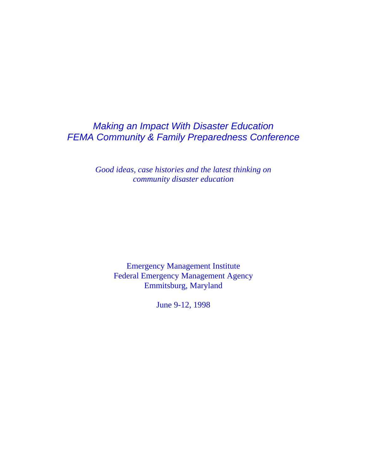# *Making an Impact With Disaster Education FEMA Community & Family Preparedness Conference*

*Good ideas, case histories and the latest thinking on community disaster education*

Emergency Management Institute Federal Emergency Management Agency Emmitsburg, Maryland

June 9-12, 1998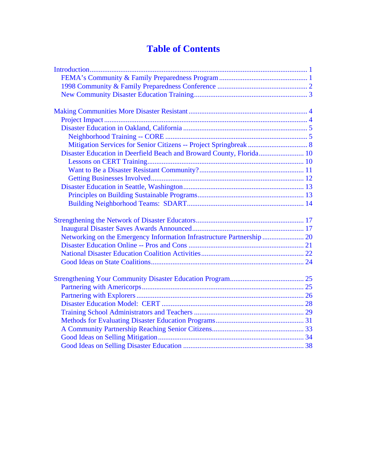# **Table of Contents**

| Disaster Education in Deerfield Beach and Broward County, Florida 10 |  |
|----------------------------------------------------------------------|--|
|                                                                      |  |
|                                                                      |  |
|                                                                      |  |
|                                                                      |  |
|                                                                      |  |
|                                                                      |  |
|                                                                      |  |
|                                                                      |  |
|                                                                      |  |
|                                                                      |  |
|                                                                      |  |
|                                                                      |  |
|                                                                      |  |
|                                                                      |  |
|                                                                      |  |
|                                                                      |  |
|                                                                      |  |
|                                                                      |  |
|                                                                      |  |
|                                                                      |  |
|                                                                      |  |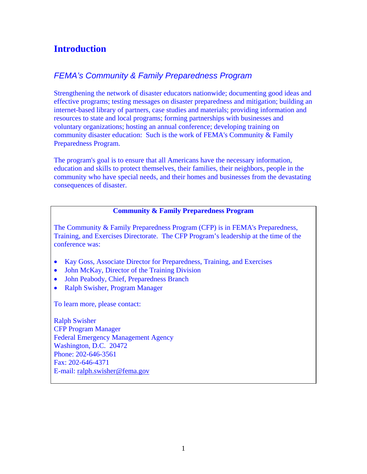# **Introduction**

# *FEMA's Community & Family Preparedness Program*

Strengthening the network of disaster educators nationwide; documenting good ideas and effective programs; testing messages on disaster preparedness and mitigation; building an internet-based library of partners, case studies and materials; providing information and resources to state and local programs; forming partnerships with businesses and voluntary organizations; hosting an annual conference; developing training on community disaster education: Such is the work of FEMA's Community & Family Preparedness Program.

The program's goal is to ensure that all Americans have the necessary information, education and skills to protect themselves, their families, their neighbors, people in the community who have special needs, and their homes and businesses from the devastating consequences of disaster.

#### **Community & Family Preparedness Program**

The Community & Family Preparedness Program (CFP) is in FEMA's Preparedness, Training, and Exercises Directorate. The CFP Program's leadership at the time of the conference was:

- Kay Goss, Associate Director for Preparedness, Training, and Exercises
- John McKay, Director of the Training Division
- John Peabody, Chief, Preparedness Branch
- Ralph Swisher, Program Manager

To learn more, please contact:

Ralph Swisher CFP Program Manager Federal Emergency Management Agency Washington, D.C. 20472 Phone: 202-646-3561 Fax: 202-646-4371 E-mail: ralph.swisher@fema.gov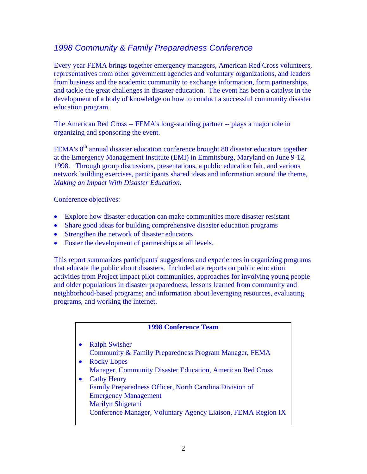# *1998 Community & Family Preparedness Conference*

Every year FEMA brings together emergency managers, American Red Cross volunteers, representatives from other government agencies and voluntary organizations, and leaders from business and the academic community to exchange information, form partnerships, and tackle the great challenges in disaster education. The event has been a catalyst in the development of a body of knowledge on how to conduct a successful community disaster education program.

The American Red Cross -- FEMA's long-standing partner -- plays a major role in organizing and sponsoring the event.

FEMA's 8<sup>th</sup> annual disaster education conference brought 80 disaster educators together at the Emergency Management Institute (EMI) in Emmitsburg, Maryland on June 9-12, 1998. Through group discussions, presentations, a public education fair, and various network building exercises, participants shared ideas and information around the theme, *Making an Impact With Disaster Education*.

Conference objectives:

- Explore how disaster education can make communities more disaster resistant
- Share good ideas for building comprehensive disaster education programs
- Strengthen the network of disaster educators
- Foster the development of partnerships at all levels.

This report summarizes participants' suggestions and experiences in organizing programs that educate the public about disasters. Included are reports on public education activities from Project Impact pilot communities, approaches for involving young people and older populations in disaster preparedness; lessons learned from community and neighborhood-based programs; and information about leveraging resources, evaluating programs, and working the internet.

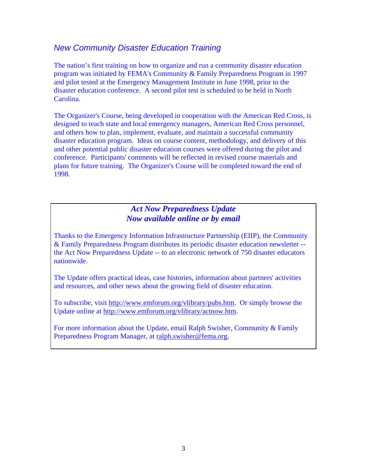## *New Community Disaster Education Training*

The nation's first training on how to organize and run a community disaster education program was initiated by FEMA's Community & Family Preparedness Program in 1997 and pilot tested at the Emergency Management Institute in June 1998, prior to the disaster education conference. A second pilot test is scheduled to be held in North Carolina.

The Organizer's Course, being developed in cooperation with the American Red Cross, is designed to teach state and local emergency managers, American Red Cross personnel, and others how to plan, implement, evaluate, and maintain a successful community disaster education program. Ideas on course content, methodology, and delivery of this and other potential public disaster education courses were offered during the pilot and conference. Participants' comments will be reflected in revised course materials and plans for future training. The Organizer's Course will be completed toward the end of 1998.

# *Act Now Preparedness Update Now available online or by email*

Thanks to the Emergency Information Infrastructure Partnership (EIIP), the Community & Family Preparedness Program distributes its periodic disaster education newsletter - the Act Now Preparedness Update -- to an electronic network of 750 disaster educators nationwide.

The Update offers practical ideas, case histories, information about partners' activities and resources, and other news about the growing field of disaster education.

To subscribe, visit http://www.emforum.org/vlibrary/pubs.htm. Or simply browse the Update online at http://www.emforum.org/vlibrary/actnow.htm.

For more information about the Update, email Ralph Swisher, Community & Family Preparedness Program Manager, at ralph.swisher@fema.org.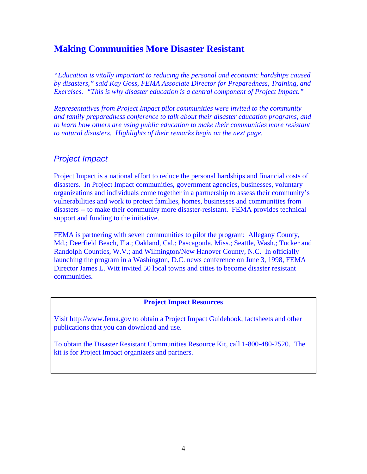# **Making Communities More Disaster Resistant**

*"Education is vitally important to reducing the personal and economic hardships caused by disasters," said Kay Goss, FEMA Associate Director for Preparedness, Training, and Exercises. "This is why disaster education is a central component of Project Impact."* 

*Representatives from Project Impact pilot communities were invited to the community and family preparedness conference to talk about their disaster education programs, and to learn how others are using public education to make their communities more resistant to natural disasters. Highlights of their remarks begin on the next page.* 

## *Project Impact*

Project Impact is a national effort to reduce the personal hardships and financial costs of disasters. In Project Impact communities, government agencies, businesses, voluntary organizations and individuals come together in a partnership to assess their community's vulnerabilities and work to protect families, homes, businesses and communities from disasters -- to make their community more disaster-resistant. FEMA provides technical support and funding to the initiative.

FEMA is partnering with seven communities to pilot the program: Allegany County, Md.; Deerfield Beach, Fla.; Oakland, Cal.; Pascagoula, Miss.; Seattle, Wash.; Tucker and Randolph Counties, W.V.; and Wilmington/New Hanover County, N.C. In officially launching the program in a Washington, D.C. news conference on June 3, 1998, FEMA Director James L. Witt invited 50 local towns and cities to become disaster resistant communities.

#### **Project Impact Resources**

Visit http://www.fema.gov to obtain a Project Impact Guidebook, factsheets and other publications that you can download and use.

To obtain the Disaster Resistant Communities Resource Kit, call 1-800-480-2520. The kit is for Project Impact organizers and partners.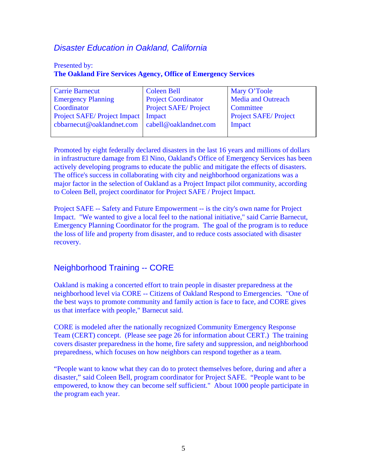# *Disaster Education in Oakland, California*

#### Presented by: **The Oakland Fire Services Agency, Office of Emergency Services**

| <b>Carrie Barnecut</b>                      | <b>Coleen Bell</b>          | Mary O'Toole                |
|---------------------------------------------|-----------------------------|-----------------------------|
| <b>Emergency Planning</b>                   | <b>Project Coordinator</b>  | <b>Media and Outreach</b>   |
| Coordinator                                 | <b>Project SAFE/Project</b> | Committee                   |
| <b>Project SAFE/Project Impact   Impact</b> |                             | <b>Project SAFE/Project</b> |
| cbbarnecut@oaklandnet.com                   | cabell@oaklandnet.com       | Impact                      |
|                                             |                             |                             |

Promoted by eight federally declared disasters in the last 16 years and millions of dollars in infrastructure damage from El Nino, Oakland's Office of Emergency Services has been actively developing programs to educate the public and mitigate the effects of disasters. The office's success in collaborating with city and neighborhood organizations was a major factor in the selection of Oakland as a Project Impact pilot community, according to Coleen Bell, project coordinator for Project SAFE / Project Impact.

Project SAFE -- Safety and Future Empowerment -- is the city's own name for Project Impact. "We wanted to give a local feel to the national initiative," said Carrie Barnecut, Emergency Planning Coordinator for the program. The goal of the program is to reduce the loss of life and property from disaster, and to reduce costs associated with disaster recovery.

# Neighborhood Training -- CORE

Oakland is making a concerted effort to train people in disaster preparedness at the neighborhood level via CORE -- Citizens of Oakland Respond to Emergencies. "One of the best ways to promote community and family action is face to face, and CORE gives us that interface with people," Barnecut said.

CORE is modeled after the nationally recognized Community Emergency Response Team (CERT) concept. (Please see page 26 for information about CERT.) The training covers disaster preparedness in the home, fire safety and suppression, and neighborhood preparedness, which focuses on how neighbors can respond together as a team.

"People want to know what they can do to protect themselves before, during and after a disaster," said Coleen Bell, program coordinator for Project SAFE. "People want to be empowered, to know they can become self sufficient." About 1000 people participate in the program each year.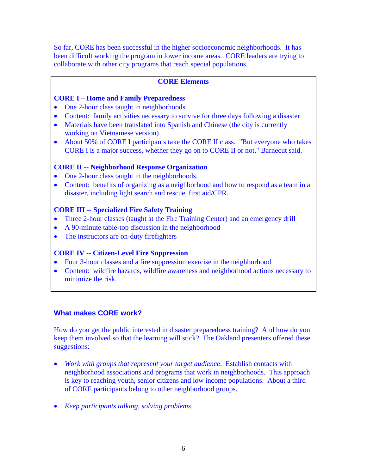So far, CORE has been successful in the higher socioeconomic neighborhoods. It has been difficult working the program in lower income areas. CORE leaders are trying to collaborate with other city programs that reach special populations.

#### **CORE Elements**

#### **CORE I – Home and Family Preparedness**

- One 2-hour class taught in neighborhoods
- Content: family activities necessary to survive for three days following a disaster
- Materials have been translated into Spanish and Chinese (the city is currently working on Vietnamese version)
- About 50% of CORE I participants take the CORE II class. "But everyone who takes CORE I is a major success, whether they go on to CORE II or not," Barnecut said.

#### **CORE II -- Neighborhood Response Organization**

- One 2-hour class taught in the neighborhoods.
- Content: benefits of organizing as a neighborhood and how to respond as a team in a disaster, including light search and rescue, first aid/CPR.

#### **CORE III -- Specialized Fire Safety Training**

- Three 2-hour classes (taught at the Fire Training Center) and an emergency drill
- A 90-minute table-top discussion in the neighborhood
- The instructors are on-duty firefighters

#### **CORE IV -- Citizen-Level Fire Suppression**

- Four 3-hour classes and a fire suppression exercise in the neighborhood
- Content: wildfire hazards, wildfire awareness and neighborhood actions necessary to minimize the risk.

### **What makes CORE work?**

How do you get the public interested in disaster preparedness training? And how do you keep them involved so that the learning will stick? The Oakland presenters offered these suggestions:

- *Work with groups that represent your target audience*. Establish contacts with neighborhood associations and programs that work in neighborhoods. This approach is key to reaching youth, senior citizens and low income populations. About a third of CORE participants belong to other neighborhood groups.
- *Keep participants talking, solving problems*.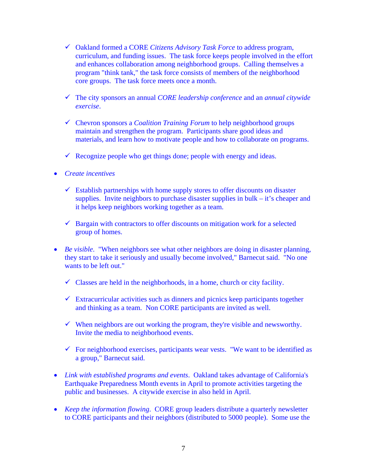- 9 Oakland formed a CORE *Citizens Advisory Task Force* to address program, curriculum, and funding issues. The task force keeps people involved in the effort and enhances collaboration among neighborhood groups. Calling themselves a program "think tank," the task force consists of members of the neighborhood core groups. The task force meets once a month.
- 9 The city sponsors an annual *CORE leadership conference* and an *annual citywide exercise*.
- 9 Chevron sponsors a *Coalition Training Forum* to help neighborhood groups maintain and strengthen the program. Participants share good ideas and materials, and learn how to motivate people and how to collaborate on programs.
- $\checkmark$  Recognize people who get things done; people with energy and ideas.
- *Create incentives*
	- $\checkmark$  Establish partnerships with home supply stores to offer discounts on disaster supplies. Invite neighbors to purchase disaster supplies in bulk – it's cheaper and it helps keep neighbors working together as a team.
	- $\checkmark$  Bargain with contractors to offer discounts on mitigation work for a selected group of homes.
- *Be visible*. "When neighbors see what other neighbors are doing in disaster planning, they start to take it seriously and usually become involved," Barnecut said. "No one wants to be left out."
	- $\checkmark$  Classes are held in the neighborhoods, in a home, church or city facility.
	- $\checkmark$  Extracurricular activities such as dinners and picnics keep participants together and thinking as a team. Non CORE participants are invited as well.
	- $\checkmark$  When neighbors are out working the program, they're visible and newsworthy. Invite the media to neighborhood events.
	- $\checkmark$  For neighborhood exercises, participants wear vests. "We want to be identified as a group," Barnecut said.
- *Link with established programs and events*. Oakland takes advantage of California's Earthquake Preparedness Month events in April to promote activities targeting the public and businesses. A citywide exercise in also held in April.
- *Keep the information flowing*. CORE group leaders distribute a quarterly newsletter to CORE participants and their neighbors (distributed to 5000 people). Some use the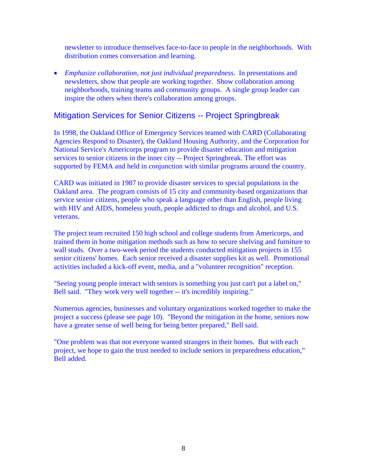newsletter to introduce themselves face-to-face to people in the neighborhoods. With distribution comes conversation and learning.

• *Emphasize collaboration, not just individual preparedness*. In presentations and newsletters, show that people are working together. Show collaboration among neighborhoods, training teams and community groups. A single group leader can inspire the others when there's collaboration among groups.

## Mitigation Services for Senior Citizens -- Project Springbreak

In 1998, the Oakland Office of Emergency Services teamed with CARD (Collaborating Agencies Respond to Disaster), the Oakland Housing Authority, and the Corporation for National Service's Americorps program to provide disaster education and mitigation services to senior citizens in the inner city -- Project Springbreak. The effort was supported by FEMA and held in conjunction with similar programs around the country.

CARD was initiated in 1987 to provide disaster services to special populations in the Oakland area. The program consists of 15 city and community-based organizations that service senior citizens, people who speak a language other than English, people living with HIV and AIDS, homeless youth, people addicted to drugs and alcohol, and U.S. veterans.

The project team recruited 150 high school and college students from Americorps, and trained them in home mitigation methods such as how to secure shelving and furniture to wall studs. Over a two-week period the students conducted mitigation projects in 155 senior citizens' homes. Each senior received a disaster supplies kit as well. Promotional activities included a kick-off event, media, and a "volunteer recognition" reception.

"Seeing young people interact with seniors is something you just can't put a label on," Bell said. "They work very well together -- it's incredibly inspiring."

Numerous agencies, businesses and voluntary organizations worked together to make the project a success (please see page 10). "Beyond the mitigation in the home, seniors now have a greater sense of well being for being better prepared," Bell said.

"One problem was that not everyone wanted strangers in their homes. But with each project, we hope to gain the trust needed to include seniors in preparedness education," Bell added.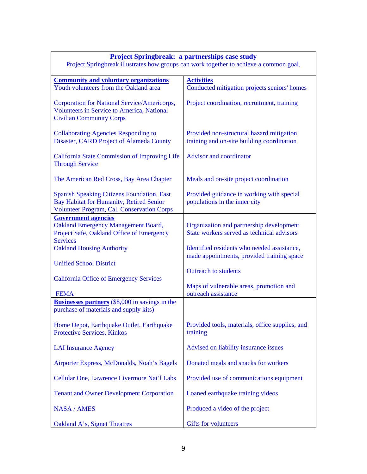| <b>Project Springbreak: a partnerships case study</b>                                                                                              |                                                                                           |  |
|----------------------------------------------------------------------------------------------------------------------------------------------------|-------------------------------------------------------------------------------------------|--|
| Project Springbreak illustrates how groups can work together to achieve a common goal.                                                             |                                                                                           |  |
| <b>Community and voluntary organizations</b>                                                                                                       | <b>Activities</b>                                                                         |  |
| Youth volunteers from the Oakland area                                                                                                             | Conducted mitigation projects seniors' homes                                              |  |
| Corporation for National Service/Americorps,<br><b>Volunteers in Service to America, National</b><br><b>Civilian Community Corps</b>               | Project coordination, recruitment, training                                               |  |
| <b>Collaborating Agencies Responding to</b><br>Disaster, CARD Project of Alameda County                                                            | Provided non-structural hazard mitigation<br>training and on-site building coordination   |  |
| California State Commission of Improving Life<br><b>Through Service</b>                                                                            | <b>Advisor and coordinator</b>                                                            |  |
| The American Red Cross, Bay Area Chapter                                                                                                           | Meals and on-site project coordination                                                    |  |
| <b>Spanish Speaking Citizens Foundation, East</b><br>Bay Habitat for Humanity, Retired Senior<br><b>Volunteer Program, Cal. Conservation Corps</b> | Provided guidance in working with special<br>populations in the inner city                |  |
| <b>Government agencies</b>                                                                                                                         |                                                                                           |  |
| <b>Oakland Emergency Management Board,</b><br>Project Safe, Oakland Office of Emergency                                                            | Organization and partnership development<br>State workers served as technical advisors    |  |
| <b>Services</b>                                                                                                                                    |                                                                                           |  |
| <b>Oakland Housing Authority</b>                                                                                                                   | Identified residents who needed assistance,<br>made appointments, provided training space |  |
| <b>Unified School District</b>                                                                                                                     |                                                                                           |  |
| <b>California Office of Emergency Services</b>                                                                                                     | <b>Outreach to students</b>                                                               |  |
| <b>FEMA</b>                                                                                                                                        | Maps of vulnerable areas, promotion and<br>outreach assistance                            |  |
| <b>Businesses partners</b> (\$8,000 in savings in the<br>purchase of materials and supply kits)                                                    |                                                                                           |  |
| Home Depot, Earthquake Outlet, Earthquake<br><b>Protective Services, Kinkos</b>                                                                    | Provided tools, materials, office supplies, and<br>training                               |  |
| <b>LAI Insurance Agency</b>                                                                                                                        | Advised on liability insurance issues                                                     |  |
| Airporter Express, McDonalds, Noah's Bagels                                                                                                        | Donated meals and snacks for workers                                                      |  |
| Cellular One, Lawrence Livermore Nat'l Labs                                                                                                        | Provided use of communications equipment                                                  |  |
| <b>Tenant and Owner Development Corporation</b>                                                                                                    | Loaned earthquake training videos                                                         |  |
| <b>NASA / AMES</b>                                                                                                                                 | Produced a video of the project                                                           |  |
| Oakland A's, Signet Theatres                                                                                                                       | <b>Gifts for volunteers</b>                                                               |  |

### **Project Springbreak: a partnerships case study**

 $\Gamma$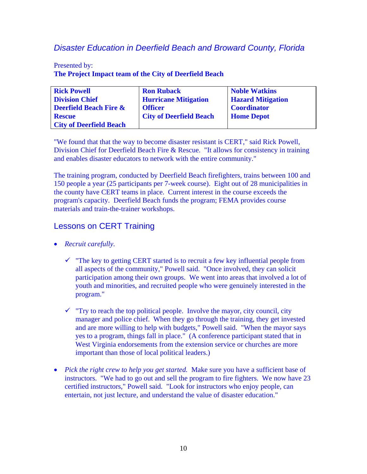## *Disaster Education in Deerfield Beach and Broward County, Florida*

Presented by:

**The Project Impact team of the City of Deerfield Beach** 

| <b>Rick Powell</b>                | <b>Ron Ruback</b>              | <b>Noble Watkins</b>     |
|-----------------------------------|--------------------------------|--------------------------|
| <b>Division Chief</b>             | <b>Hurricane Mitigation</b>    | <b>Hazard Mitigation</b> |
| <b>Deerfield Beach Fire &amp;</b> | <b>Officer</b>                 | <b>Coordinator</b>       |
| <b>Rescue</b>                     | <b>City of Deerfield Beach</b> | <b>Home Depot</b>        |
| <b>City of Deerfield Beach</b>    |                                |                          |

"We found that that the way to become disaster resistant is CERT," said Rick Powell, Division Chief for Deerfield Beach Fire & Rescue. "It allows for consistency in training and enables disaster educators to network with the entire community."

The training program, conducted by Deerfield Beach firefighters, trains between 100 and 150 people a year (25 participants per 7-week course). Eight out of 28 municipalities in the county have CERT teams in place. Current interest in the course exceeds the program's capacity. Deerfield Beach funds the program; FEMA provides course materials and train-the-trainer workshops.

# Lessons on CERT Training

- *Recruit carefully.* 
	- $\checkmark$  "The key to getting CERT started is to recruit a few key influential people from all aspects of the community," Powell said. "Once involved, they can solicit participation among their own groups. We went into areas that involved a lot of youth and minorities, and recruited people who were genuinely interested in the program."
	- $\checkmark$  "Try to reach the top political people. Involve the mayor, city council, city manager and police chief. When they go through the training, they get invested and are more willing to help with budgets," Powell said. "When the mayor says yes to a program, things fall in place." (A conference participant stated that in West Virginia endorsements from the extension service or churches are more important than those of local political leaders.)
- *Pick the right crew to help you get started.* Make sure you have a sufficient base of instructors. "We had to go out and sell the program to fire fighters. We now have 23 certified instructors," Powell said. "Look for instructors who enjoy people, can entertain, not just lecture, and understand the value of disaster education."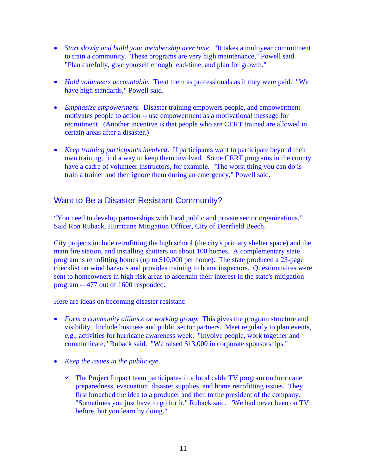- *Start slowly and build your membership over time*. "It takes a multiyear commitment to train a community. These programs are very high maintenance," Powell said. "Plan carefully, give yourself enough lead-time, and plan for growth."
- *Hold volunteers accountable*. Treat them as professionals as if they were paid. "We have high standards," Powell said.
- *Emphasize empowerment*. Disaster training empowers people, and empowerment motivates people to action -- use empowerment as a motivational message for recruitment. (Another incentive is that people who are CERT trained are allowed in certain areas after a disaster.)
- *Keep training participants involved*. If participants want to participate beyond their own training, find a way to keep them involved. Some CERT programs in the county have a cadre of volunteer instructors, for example. "The worst thing you can do is train a trainer and then ignore them during an emergency," Powell said.

# Want to Be a Disaster Resistant Community?

"You need to develop partnerships with local public and private sector organizations," Said Ron Ruback, Hurricane Mitigation Officer, City of Deerfield Beech.

City projects include retrofitting the high school (the city's primary shelter space) and the main fire station, and installing shutters on about 100 homes. A complementary state program is retrofitting homes (up to \$10,000 per home). The state produced a 23-page checklist on wind hazards and provides training to home inspectors. Questionnaires were sent to homeowners in high risk areas to ascertain their interest in the state's mitigation program -- 477 out of 1600 responded.

Here are ideas on becoming disaster resistant:

- *Form a community alliance or working group*. This gives the program structure and visibility. Include business and public sector partners. Meet regularly to plan events, e.g., activities for hurricane awareness week. "Involve people, work together and communicate," Ruback said. "We raised \$13,000 in corporate sponsorships."
- *Keep the issues in the public eye*.
	- $\checkmark$  The Project Impact team participates in a local cable TV program on hurricane preparedness, evacuation, disaster supplies, and home retrofitting issues. They first broached the idea to a producer and then to the president of the company. "Sometimes you just have to go for it," Ruback said. "We had never been on TV before, but you learn by doing."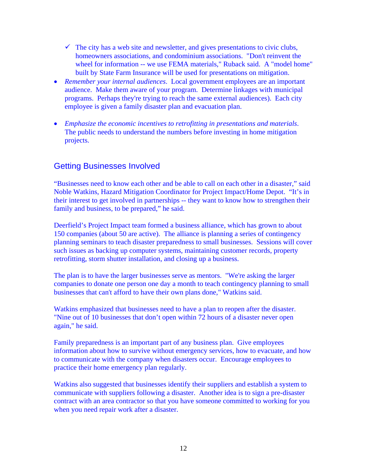- $\checkmark$  The city has a web site and newsletter, and gives presentations to civic clubs, homeowners associations, and condominium associations. "Don't reinvent the wheel for information -- we use FEMA materials," Ruback said. A "model home" built by State Farm Insurance will be used for presentations on mitigation.
- *Remember your internal audiences*. Local government employees are an important audience. Make them aware of your program. Determine linkages with municipal programs. Perhaps they're trying to reach the same external audiences). Each city employee is given a family disaster plan and evacuation plan.
- *Emphasize the economic incentives to retrofitting in presentations and materials*. The public needs to understand the numbers before investing in home mitigation projects.

# Getting Businesses Involved

"Businesses need to know each other and be able to call on each other in a disaster," said Noble Watkins, Hazard Mitigation Coordinator for Project Impact/Home Depot. "It's in their interest to get involved in partnerships -- they want to know how to strengthen their family and business, to be prepared," he said.

Deerfield's Project Impact team formed a business alliance, which has grown to about 150 companies (about 50 are active). The alliance is planning a series of contingency planning seminars to teach disaster preparedness to small businesses. Sessions will cover such issues as backing up computer systems, maintaining customer records, property retrofitting, storm shutter installation, and closing up a business.

The plan is to have the larger businesses serve as mentors. "We're asking the larger companies to donate one person one day a month to teach contingency planning to small businesses that can't afford to have their own plans done," Watkins said.

Watkins emphasized that businesses need to have a plan to reopen after the disaster. "Nine out of 10 businesses that don't open within 72 hours of a disaster never open again," he said.

Family preparedness is an important part of any business plan. Give employees information about how to survive without emergency services, how to evacuate, and how to communicate with the company when disasters occur. Encourage employees to practice their home emergency plan regularly.

Watkins also suggested that businesses identify their suppliers and establish a system to communicate with suppliers following a disaster. Another idea is to sign a pre-disaster contract with an area contractor so that you have someone committed to working for you when you need repair work after a disaster.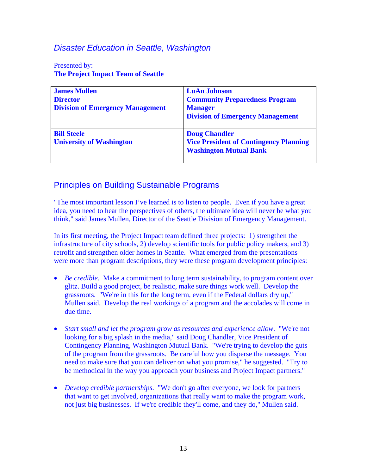## *Disaster Education in Seattle, Washington*

Presented by: **The Project Impact Team of Seattle** 

| <b>James Mullen</b><br><b>Director</b><br><b>Division of Emergency Management</b> | <b>LuAn Johnson</b><br><b>Community Preparedness Program</b><br><b>Manager</b><br><b>Division of Emergency Management</b> |
|-----------------------------------------------------------------------------------|---------------------------------------------------------------------------------------------------------------------------|
| <b>Bill Steele</b><br><b>University of Washington</b>                             | <b>Doug Chandler</b><br><b>Vice President of Contingency Planning</b><br><b>Washington Mutual Bank</b>                    |

# Principles on Building Sustainable Programs

"The most important lesson I've learned is to listen to people. Even if you have a great idea, you need to hear the perspectives of others, the ultimate idea will never be what you think," said James Mullen, Director of the Seattle Division of Emergency Management.

In its first meeting, the Project Impact team defined three projects: 1) strengthen the infrastructure of city schools, 2) develop scientific tools for public policy makers, and 3) retrofit and strengthen older homes in Seattle. What emerged from the presentations were more than program descriptions, they were these program development principles:

- *Be credible*. Make a commitment to long term sustainability, to program content over glitz. Build a good project, be realistic, make sure things work well. Develop the grassroots. "We're in this for the long term, even if the Federal dollars dry up," Mullen said. Develop the real workings of a program and the accolades will come in due time.
- *Start small and let the program grow as resources and experience allow*. "We're not looking for a big splash in the media," said Doug Chandler, Vice President of Contingency Planning, Washington Mutual Bank. "We're trying to develop the guts of the program from the grassroots. Be careful how you disperse the message. You need to make sure that you can deliver on what you promise," he suggested. "Try to be methodical in the way you approach your business and Project Impact partners."
- *Develop credible partnerships*. "We don't go after everyone, we look for partners that want to get involved, organizations that really want to make the program work, not just big businesses. If we're credible they'll come, and they do," Mullen said.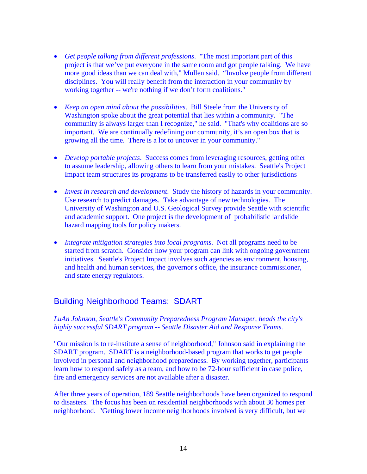- *Get people talking from different professions*. "The most important part of this project is that we've put everyone in the same room and got people talking. We have more good ideas than we can deal with," Mullen said. "Involve people from different disciplines. You will really benefit from the interaction in your community by working together -- we're nothing if we don't form coalitions."
- *Keep an open mind about the possibilities*. Bill Steele from the University of Washington spoke about the great potential that lies within a community. "The community is always larger than I recognize," he said. "That's why coalitions are so important. We are continually redefining our community, it's an open box that is growing all the time. There is a lot to uncover in your community."
- *Develop portable projects*. Success comes from leveraging resources, getting other to assume leadership, allowing others to learn from your mistakes. Seattle's Project Impact team structures its programs to be transferred easily to other jurisdictions
- *Invest in research and development*. Study the history of hazards in your community. Use research to predict damages. Take advantage of new technologies. The University of Washington and U.S. Geological Survey provide Seattle with scientific and academic support. One project is the development of probabilistic landslide hazard mapping tools for policy makers.
- *Integrate mitigation strategies into local programs*. Not all programs need to be started from scratch. Consider how your program can link with ongoing government initiatives. Seattle's Project Impact involves such agencies as environment, housing, and health and human services, the governor's office, the insurance commissioner, and state energy regulators.

# Building Neighborhood Teams: SDART

#### *LuAn Johnson, Seattle's Community Preparedness Program Manager, heads the city's highly successful SDART program -- Seattle Disaster Aid and Response Teams.*

"Our mission is to re-institute a sense of neighborhood," Johnson said in explaining the SDART program. SDART is a neighborhood-based program that works to get people involved in personal and neighborhood preparedness. By working together, participants learn how to respond safely as a team, and how to be 72-hour sufficient in case police, fire and emergency services are not available after a disaster.

After three years of operation, 189 Seattle neighborhoods have been organized to respond to disasters. The focus has been on residential neighborhoods with about 30 homes per neighborhood. "Getting lower income neighborhoods involved is very difficult, but we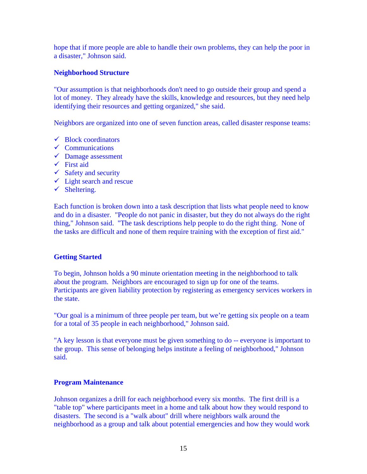hope that if more people are able to handle their own problems, they can help the poor in a disaster," Johnson said.

#### **Neighborhood Structure**

"Our assumption is that neighborhoods don't need to go outside their group and spend a lot of money. They already have the skills, knowledge and resources, but they need help identifying their resources and getting organized," she said.

Neighbors are organized into one of seven function areas, called disaster response teams:

- $\checkmark$  Block coordinators
- $\checkmark$  Communications
- $\sqrt{\phantom{a}}$  Damage assessment
- $\checkmark$  First aid
- $\checkmark$  Safety and security
- $\checkmark$  Light search and rescue
- $\checkmark$  Sheltering.

Each function is broken down into a task description that lists what people need to know and do in a disaster. "People do not panic in disaster, but they do not always do the right thing," Johnson said. "The task descriptions help people to do the right thing. None of the tasks are difficult and none of them require training with the exception of first aid."

#### **Getting Started**

To begin, Johnson holds a 90 minute orientation meeting in the neighborhood to talk about the program. Neighbors are encouraged to sign up for one of the teams. Participants are given liability protection by registering as emergency services workers in the state.

"Our goal is a minimum of three people per team, but we're getting six people on a team for a total of 35 people in each neighborhood," Johnson said.

"A key lesson is that everyone must be given something to do -- everyone is important to the group. This sense of belonging helps institute a feeling of neighborhood," Johnson said.

#### **Program Maintenance**

Johnson organizes a drill for each neighborhood every six months. The first drill is a "table top" where participants meet in a home and talk about how they would respond to disasters. The second is a "walk about" drill where neighbors walk around the neighborhood as a group and talk about potential emergencies and how they would work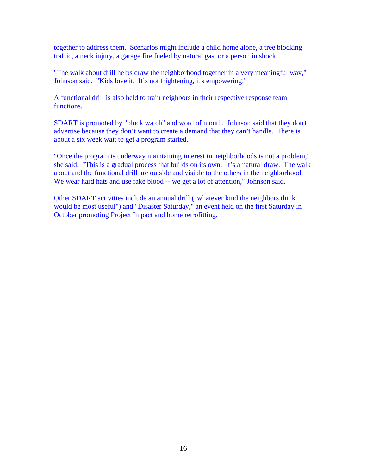together to address them. Scenarios might include a child home alone, a tree blocking traffic, a neck injury, a garage fire fueled by natural gas, or a person in shock.

"The walk about drill helps draw the neighborhood together in a very meaningful way," Johnson said. "Kids love it. It's not frightening, it's empowering."

A functional drill is also held to train neighbors in their respective response team functions.

SDART is promoted by "block watch" and word of mouth. Johnson said that they don't advertise because they don't want to create a demand that they can't handle. There is about a six week wait to get a program started.

"Once the program is underway maintaining interest in neighborhoods is not a problem," she said. "This is a gradual process that builds on its own. It's a natural draw. The walk about and the functional drill are outside and visible to the others in the neighborhood. We wear hard hats and use fake blood -- we get a lot of attention," Johnson said.

Other SDART activities include an annual drill ("whatever kind the neighbors think would be most useful") and "Disaster Saturday," an event held on the first Saturday in October promoting Project Impact and home retrofitting.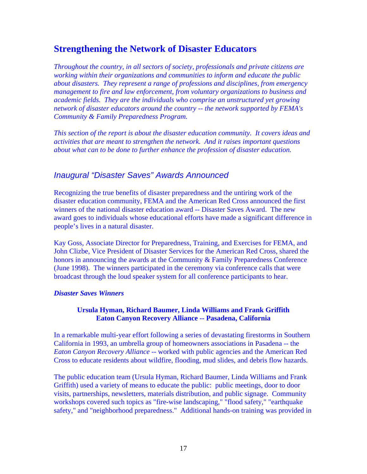# **Strengthening the Network of Disaster Educators**

*Throughout the country, in all sectors of society, professionals and private citizens are working within their organizations and communities to inform and educate the public about disasters. They represent a range of professions and disciplines, from emergency management to fire and law enforcement, from voluntary organizations to business and academic fields. They are the individuals who comprise an unstructured yet growing network of disaster educators around the country -- the network supported by FEMA's Community & Family Preparedness Program.* 

*This section of the report is about the disaster education community. It covers ideas and activities that are meant to strengthen the network. And it raises important questions about what can to be done to further enhance the profession of disaster education.* 

## *Inaugural "Disaster Saves" Awards Announced*

Recognizing the true benefits of disaster preparedness and the untiring work of the disaster education community, FEMA and the American Red Cross announced the first winners of the national disaster education award -- Disaster Saves Award. The new award goes to individuals whose educational efforts have made a significant difference in people's lives in a natural disaster.

Kay Goss, Associate Director for Preparedness, Training, and Exercises for FEMA, and John Clizbe, Vice President of Disaster Services for the American Red Cross, shared the honors in announcing the awards at the Community & Family Preparedness Conference (June 1998). The winners participated in the ceremony via conference calls that were broadcast through the loud speaker system for all conference participants to hear.

#### *Disaster Saves Winners*

#### **Ursula Hyman, Richard Baumer, Linda Williams and Frank Griffith Eaton Canyon Recovery Alliance -- Pasadena, California**

In a remarkable multi-year effort following a series of devastating firestorms in Southern California in 1993, an umbrella group of homeowners associations in Pasadena -- the *Eaton Canyon Recovery Alliance* -- worked with public agencies and the American Red Cross to educate residents about wildfire, flooding, mud slides, and debris flow hazards.

The public education team (Ursula Hyman, Richard Baumer, Linda Williams and Frank Griffith) used a variety of means to educate the public: public meetings, door to door visits, partnerships, newsletters, materials distribution, and public signage. Community workshops covered such topics as "fire-wise landscaping," "flood safety," "earthquake safety," and "neighborhood preparedness." Additional hands-on training was provided in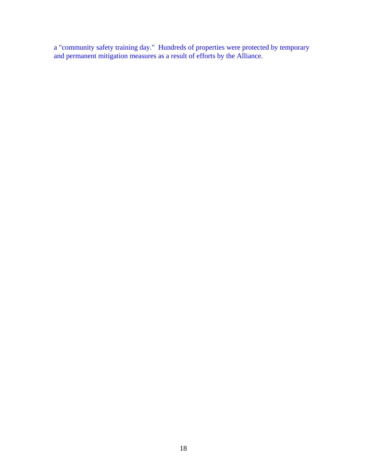a "community safety training day." Hundreds of properties were protected by temporary and permanent mitigation measures as a result of efforts by the Alliance.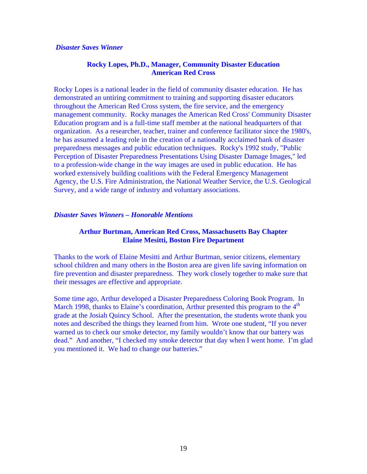#### *Disaster Saves Winner*

#### **Rocky Lopes, Ph.D., Manager, Community Disaster Education American Red Cross**

Rocky Lopes is a national leader in the field of community disaster education. He has demonstrated an untiring commitment to training and supporting disaster educators throughout the American Red Cross system, the fire service, and the emergency management community. Rocky manages the American Red Cross' Community Disaster Education program and is a full-time staff member at the national headquarters of that organization. As a researcher, teacher, trainer and conference facilitator since the 1980's, he has assumed a leading role in the creation of a nationally acclaimed bank of disaster preparedness messages and public education techniques. Rocky's 1992 study, "Public Perception of Disaster Preparedness Presentations Using Disaster Damage Images," led to a profession-wide change in the way images are used in public education. He has worked extensively building coalitions with the Federal Emergency Management Agency, the U.S. Fire Administration, the National Weather Service, the U.S. Geological Survey, and a wide range of industry and voluntary associations.

#### *Disaster Saves Winners – Honorable Mentions*

#### **Arthur Burtman, American Red Cross, Massachusetts Bay Chapter Elaine Mesitti, Boston Fire Department**

Thanks to the work of Elaine Mesitti and Arthur Burtman, senior citizens, elementary school children and many others in the Boston area are given life saving information on fire prevention and disaster preparedness. They work closely together to make sure that their messages are effective and appropriate.

Some time ago, Arthur developed a Disaster Preparedness Coloring Book Program. In March 1998, thanks to Elaine's coordination, Arthur presented this program to the 4<sup>th</sup> grade at the Josiah Quincy School. After the presentation, the students wrote thank you notes and described the things they learned from him. Wrote one student, "If you never warned us to check our smoke detector, my family wouldn't know that our battery was dead." And another, "I checked my smoke detector that day when I went home. I'm glad you mentioned it. We had to change our batteries."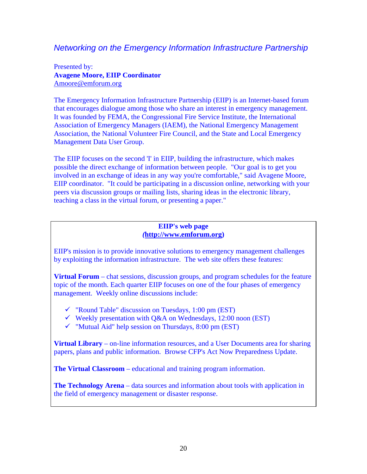# *Networking on the Emergency Information Infrastructure Partnership*

Presented by: **Avagene Moore, EIIP Coordinator**  Amoore@emforum.org

The Emergency Information Infrastructure Partnership (EIIP) is an Internet-based forum that encourages dialogue among those who share an interest in emergency management. It was founded by FEMA, the Congressional Fire Service Institute, the International Association of Emergency Managers (IAEM), the National Emergency Management Association, the National Volunteer Fire Council, and the State and Local Emergency Management Data User Group.

The EIIP focuses on the second 'I' in EIIP, building the infrastructure, which makes possible the direct exchange of information between people. "Our goal is to get you involved in an exchange of ideas in any way you're comfortable," said Avagene Moore, EIIP coordinator. "It could be participating in a discussion online, networking with your peers via discussion groups or mailing lists, sharing ideas in the electronic library, teaching a class in the virtual forum, or presenting a paper."

#### **EIIP's web page**  *(***http://www.emforum.org)**

EIIP's mission is to provide innovative solutions to emergency management challenges by exploiting the information infrastructure. The web site offers these features:

**Virtual Forum** – chat sessions, discussion groups, and program schedules for the feature topic of the month. Each quarter EIIP focuses on one of the four phases of emergency management. Weekly online discussions include:

- $\checkmark$  "Round Table" discussion on Tuesdays, 1:00 pm (EST)
- $\checkmark$  Weekly presentation with Q&A on Wednesdays, 12:00 noon (EST)
- $\checkmark$  "Mutual Aid" help session on Thursdays, 8:00 pm (EST)

**Virtual Library** – on-line information resources, and a User Documents area for sharing papers, plans and public information. Browse CFP's Act Now Preparedness Update.

**The Virtual Classroom** – educational and training program information.

**The Technology Arena** – data sources and information about tools with application in the field of emergency management or disaster response.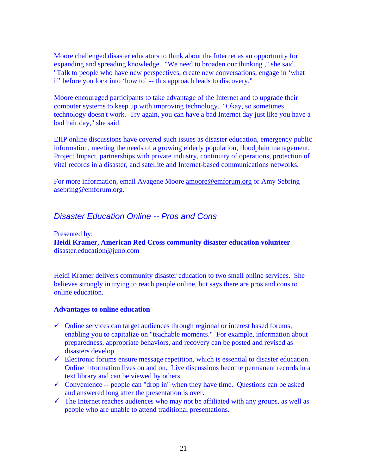Moore challenged disaster educators to think about the Internet as an opportunity for expanding and spreading knowledge. "We need to broaden our thinking ," she said. "Talk to people who have new perspectives, create new conversations, engage in 'what if' before you lock into 'how to' -- this approach leads to discovery."

Moore encouraged participants to take advantage of the Internet and to upgrade their computer systems to keep up with improving technology. "Okay, so sometimes technology doesn't work. Try again, you can have a bad Internet day just like you have a bad hair day," she said.

EIIP online discussions have covered such issues as disaster education, emergency public information, meeting the needs of a growing elderly population, floodplain management, Project Impact, partnerships with private industry, continuity of operations, protection of vital records in a disaster, and satellite and Internet-based communications networks.

For more information, email Avagene Moore amoore@emforum.org or Amy Sebring asebring@emforum.org.

### *Disaster Education Online -- Pros and Cons*

Presented by: **Heidi Kramer, American Red Cross community disaster education volunteer**  disaster.education@juno.com

Heidi Kramer delivers community disaster education to two small online services. She believes strongly in trying to reach people online, but says there are pros and cons to online education.

#### **Advantages to online education**

- $\checkmark$  Online services can target audiences through regional or interest based forums, enabling you to capitalize on "teachable moments." For example, information about preparedness, appropriate behaviors, and recovery can be posted and revised as disasters develop.
- $\checkmark$  Electronic forums ensure message repetition, which is essential to disaster education. Online information lives on and on. Live discussions become permanent records in a text library and can be viewed by others.
- $\checkmark$  Convenience -- people can "drop in" when they have time. Questions can be asked and answered long after the presentation is over.
- $\checkmark$  The Internet reaches audiences who may not be affiliated with any groups, as well as people who are unable to attend traditional presentations.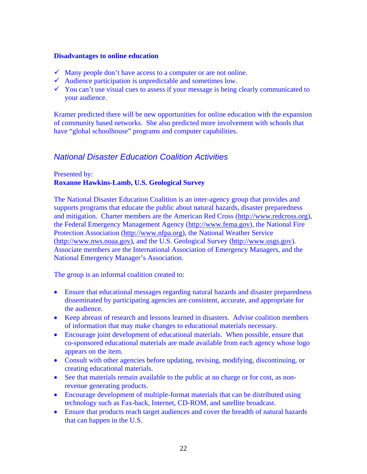#### **Disadvantages to online education**

- $\checkmark$  Many people don't have access to a computer or are not online.
- $\checkmark$  Audience participation is unpredictable and sometimes low.
- $\checkmark$  You can't use visual cues to assess if your message is being clearly communicated to your audience.

Kramer predicted there will be new opportunities for online education with the expansion of community based networks. She also predicted more involvement with schools that have "global schoolhouse" programs and computer capabilities.

## *National Disaster Education Coalition Activities*

#### Presented by: **Roxanne Hawkins-Lamb, U.S. Geological Survey**

The National Disaster Education Coalition is an inter-agency group that provides and supports programs that educate the public about natural hazards, disaster preparedness and mitigation. Charter members are the American Red Cross (http://www.redcross.org), the Federal Emergency Management Agency (http://www.fema.gov), the National Fire Protection Association (http://www.nfpa.org), the National Weather Service (http://www.nws.noaa.gov), and the U.S. Geological Survey (http://www.usgs.gov). Associate members are the International Association of Emergency Managers, and the National Emergency Manager's Association.

The group is an informal coalition created to:

- Ensure that educational messages regarding natural hazards and disaster preparedness disseminated by participating agencies are consistent, accurate, and appropriate for the audience.
- Keep abreast of research and lessons learned in disasters. Advise coalition members of information that may make changes to educational materials necessary.
- Encourage joint development of educational materials. When possible, ensure that co-sponsored educational materials are made available from each agency whose logo appears on the item.
- Consult with other agencies before updating, revising, modifying, discontinuing, or creating educational materials.
- See that materials remain available to the public at no charge or for cost, as nonrevenue generating products.
- Encourage development of multiple-format materials that can be distributed using technology such as Fax-back, Internet, CD-ROM, and satellite broadcast.
- Ensure that products reach target audiences and cover the breadth of natural hazards that can happen in the U.S.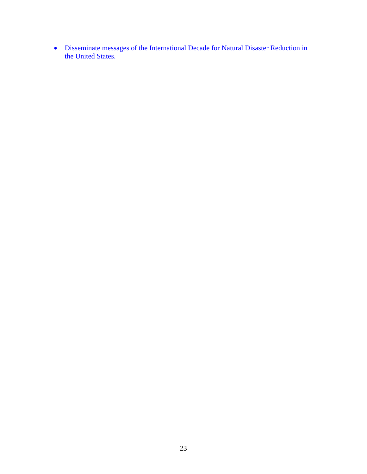• Disseminate messages of the International Decade for Natural Disaster Reduction in the United States.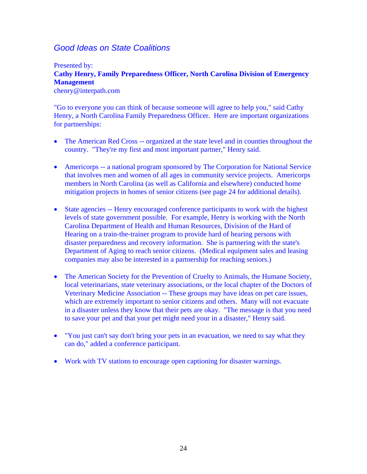## *Good Ideas on State Coalitions*

Presented by: **Cathy Henry, Family Preparedness Officer, North Carolina Division of Emergency Management**  chenry@interpath.com

"Go to everyone you can think of because someone will agree to help you," said Cathy Henry, a North Carolina Family Preparedness Officer. Here are important organizations for partnerships:

- The American Red Cross -- organized at the state level and in counties throughout the country. "They're my first and most important partner," Henry said.
- Americorps -- a national program sponsored by The Corporation for National Service that involves men and women of all ages in community service projects. Americorps members in North Carolina (as well as California and elsewhere) conducted home mitigation projects in homes of senior citizens (see page 24 for additional details).
- State agencies -- Henry encouraged conference participants to work with the highest levels of state government possible. For example, Henry is working with the North Carolina Department of Health and Human Resources, Division of the Hard of Hearing on a train-the-trainer program to provide hard of hearing persons with disaster preparedness and recovery information. She is partnering with the state's Department of Aging to reach senior citizens. (Medical equipment sales and leasing companies may also be interested in a partnership for reaching seniors.)
- The American Society for the Prevention of Cruelty to Animals, the Humane Society, local veterinarians, state veterinary associations, or the local chapter of the Doctors of Veterinary Medicine Association -- These groups may have ideas on pet care issues, which are extremely important to senior citizens and others. Many will not evacuate in a disaster unless they know that their pets are okay. "The message is that you need to save your pet and that your pet might need your in a disaster," Henry said.
- "You just can't say don't bring your pets in an evacuation, we need to say what they can do," added a conference participant.
- Work with TV stations to encourage open captioning for disaster warnings.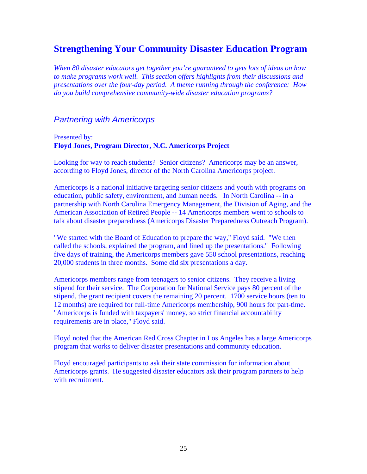# **Strengthening Your Community Disaster Education Program**

*When 80 disaster educators get together you're guaranteed to gets lots of ideas on how to make programs work well. This section offers highlights from their discussions and presentations over the four-day period. A theme running through the conference: How do you build comprehensive community-wide disaster education programs?* 

### *Partnering with Americorps*

#### Presented by: **Floyd Jones, Program Director, N.C. Americorps Project**

Looking for way to reach students? Senior citizens? Americorps may be an answer, according to Floyd Jones, director of the North Carolina Americorps project.

Americorps is a national initiative targeting senior citizens and youth with programs on education, public safety, environment, and human needs. In North Carolina -- in a partnership with North Carolina Emergency Management, the Division of Aging, and the American Association of Retired People -- 14 Americorps members went to schools to talk about disaster preparedness (Americorps Disaster Preparedness Outreach Program).

"We started with the Board of Education to prepare the way," Floyd said. "We then called the schools, explained the program, and lined up the presentations." Following five days of training, the Americorps members gave 550 school presentations, reaching 20,000 students in three months. Some did six presentations a day.

Americorps members range from teenagers to senior citizens. They receive a living stipend for their service. The Corporation for National Service pays 80 percent of the stipend, the grant recipient covers the remaining 20 percent. 1700 service hours (ten to 12 months) are required for full-time Americorps membership, 900 hours for part-time. "Americorps is funded with taxpayers' money, so strict financial accountability requirements are in place," Floyd said.

Floyd noted that the American Red Cross Chapter in Los Angeles has a large Americorps program that works to deliver disaster presentations and community education.

Floyd encouraged participants to ask their state commission for information about Americorps grants. He suggested disaster educators ask their program partners to help with recruitment.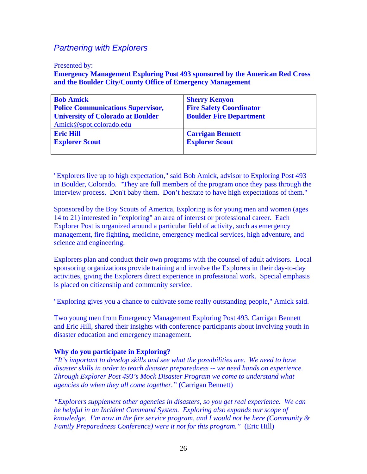### *Partnering with Explorers*

Presented by:

**Emergency Management Exploring Post 493 sponsored by the American Red Cross and the Boulder City/County Office of Emergency Management** 

| <b>Bob Amick</b><br><b>Police Communications Supervisor,</b><br><b>University of Colorado at Boulder</b><br>Amick@spot.colorado.edu | <b>Sherry Kenyon</b><br><b>Fire Safety Coordinator</b><br><b>Boulder Fire Department</b> |
|-------------------------------------------------------------------------------------------------------------------------------------|------------------------------------------------------------------------------------------|
| <b>Eric Hill</b>                                                                                                                    | <b>Carrigan Bennett</b>                                                                  |
| <b>Explorer Scout</b>                                                                                                               | <b>Explorer Scout</b>                                                                    |

"Explorers live up to high expectation," said Bob Amick, advisor to Exploring Post 493 in Boulder, Colorado. "They are full members of the program once they pass through the interview process. Don't baby them. Don't hesitate to have high expectations of them."

Sponsored by the Boy Scouts of America, Exploring is for young men and women (ages 14 to 21) interested in "exploring" an area of interest or professional career. Each Explorer Post is organized around a particular field of activity, such as emergency management, fire fighting, medicine, emergency medical services, high adventure, and science and engineering.

Explorers plan and conduct their own programs with the counsel of adult advisors. Local sponsoring organizations provide training and involve the Explorers in their day-to-day activities, giving the Explorers direct experience in professional work. Special emphasis is placed on citizenship and community service.

"Exploring gives you a chance to cultivate some really outstanding people," Amick said.

Two young men from Emergency Management Exploring Post 493, Carrigan Bennett and Eric Hill, shared their insights with conference participants about involving youth in disaster education and emergency management.

#### **Why do you participate in Exploring?**

*"It's important to develop skills and see what the possibilities are. We need to have disaster skills in order to teach disaster preparedness -- we need hands on experience. Through Explorer Post 493's Mock Disaster Program we come to understand what agencies do when they all come together."* (Carrigan Bennett)

*"Explorers supplement other agencies in disasters, so you get real experience. We can be helpful in an Incident Command System. Exploring also expands our scope of knowledge. I'm now in the fire service program, and I would not be here (Community & Family Preparedness Conference) were it not for this program."* (Eric Hill)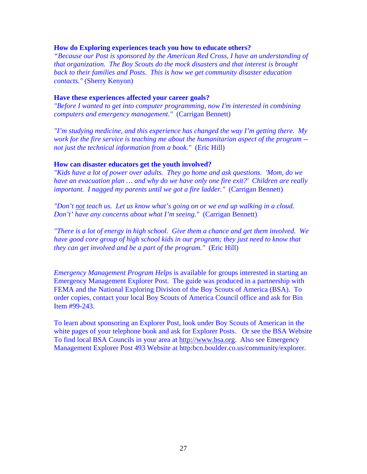#### **How do Exploring experiences teach you how to educate others?**

*"Because our Post is sponsored by the American Red Cross, I have an understanding of that organization. The Boy Scouts do the mock disasters and that interest is brought back to their families and Posts. This is how we get community disaster education contacts."* (Sherry Kenyon)

#### **Have these experiences affected your career goals?**

*"Before I wanted to get into computer programming, now I'm interested in combining computers and emergency management."* (Carrigan Bennett)

*"I'm studying medicine, and this experience has changed the way I'm getting there. My work for the fire service is teaching me about the humanitarian aspect of the program - not just the technical information from a book."* (Eric Hill)

#### **How can disaster educators get the youth involved?**

*"Kids have a lot of power over adults. They go home and ask questions. 'Mom, do we have an evacuation plan … and why do we have only one fire exit?' Children are really important. I nagged my parents until we got a fire ladder.*" (Carrigan Bennett)

*"Don't not teach us. Let us know what's going on or we end up walking in a cloud. Don't' have any concerns about what I'm seeing."* (Carrigan Bennett)

*"There is a lot of energy in high school. Give them a chance and get them involved. We have good core group of high school kids in our program; they just need to know that they can get involved and be a part of the program."* (Eric Hill)

*Emergency Management Program Helps* is available for groups interested in starting an Emergency Management Explorer Post. The guide was produced in a partnership with FEMA and the National Exploring Division of the Boy Scouts of America (BSA). To order copies, contact your local Boy Scouts of America Council office and ask for Bin Item #99-243.

To learn about sponsoring an Explorer Post, look under Boy Scouts of American in the white pages of your telephone book and ask for Explorer Posts. Or see the BSA Website To find local BSA Councils in your area at http://www.bsa.org. Also see Emergency Management Explorer Post 493 Website at http:bcn.boulder.co.us/community/explorer.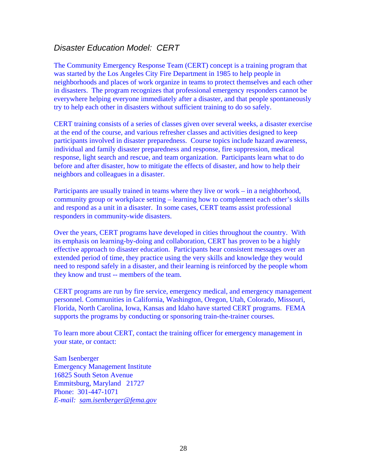### *Disaster Education Model: CERT*

The Community Emergency Response Team (CERT) concept is a training program that was started by the Los Angeles City Fire Department in 1985 to help people in neighborhoods and places of work organize in teams to protect themselves and each other in disasters. The program recognizes that professional emergency responders cannot be everywhere helping everyone immediately after a disaster, and that people spontaneously try to help each other in disasters without sufficient training to do so safely.

CERT training consists of a series of classes given over several weeks, a disaster exercise at the end of the course, and various refresher classes and activities designed to keep participants involved in disaster preparedness. Course topics include hazard awareness, individual and family disaster preparedness and response, fire suppression, medical response, light search and rescue, and team organization. Participants learn what to do before and after disaster, how to mitigate the effects of disaster, and how to help their neighbors and colleagues in a disaster.

Participants are usually trained in teams where they live or work – in a neighborhood, community group or workplace setting – learning how to complement each other's skills and respond as a unit in a disaster. In some cases, CERT teams assist professional responders in community-wide disasters.

Over the years, CERT programs have developed in cities throughout the country. With its emphasis on learning-by-doing and collaboration, CERT has proven to be a highly effective approach to disaster education. Participants hear consistent messages over an extended period of time, they practice using the very skills and knowledge they would need to respond safely in a disaster, and their learning is reinforced by the people whom they know and trust -- members of the team.

CERT programs are run by fire service, emergency medical, and emergency management personnel. Communities in California, Washington, Oregon, Utah, Colorado, Missouri, Florida, North Carolina, Iowa, Kansas and Idaho have started CERT programs. FEMA supports the programs by conducting or sponsoring train-the-trainer courses.

To learn more about CERT, contact the training officer for emergency management in your state, or contact:

Sam Isenberger Emergency Management Institute 16825 South Seton Avenue Emmitsburg, Maryland 21727 Phone: 301-447-1071 *E-mail: sam.isenberger@fema.gov*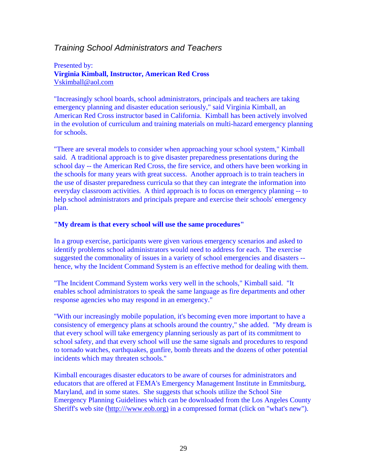### *Training School Administrators and Teachers*

Presented by: **Virginia Kimball, Instructor, American Red Cross**  Vskimball@aol.com

"Increasingly school boards, school administrators, principals and teachers are taking emergency planning and disaster education seriously," said Virginia Kimball, an American Red Cross instructor based in California. Kimball has been actively involved in the evolution of curriculum and training materials on multi-hazard emergency planning for schools.

"There are several models to consider when approaching your school system," Kimball said. A traditional approach is to give disaster preparedness presentations during the school day -- the American Red Cross, the fire service, and others have been working in the schools for many years with great success. Another approach is to train teachers in the use of disaster preparedness curricula so that they can integrate the information into everyday classroom activities. A third approach is to focus on emergency planning -- to help school administrators and principals prepare and exercise their schools' emergency plan.

#### **"My dream is that every school will use the same procedures"**

In a group exercise, participants were given various emergency scenarios and asked to identify problems school administrators would need to address for each. The exercise suggested the commonality of issues in a variety of school emergencies and disasters - hence, why the Incident Command System is an effective method for dealing with them.

"The Incident Command System works very well in the schools," Kimball said. "It enables school administrators to speak the same language as fire departments and other response agencies who may respond in an emergency."

"With our increasingly mobile population, it's becoming even more important to have a consistency of emergency plans at schools around the country," she added. "My dream is that every school will take emergency planning seriously as part of its commitment to school safety, and that every school will use the same signals and procedures to respond to tornado watches, earthquakes, gunfire, bomb threats and the dozens of other potential incidents which may threaten schools."

Kimball encourages disaster educators to be aware of courses for administrators and educators that are offered at FEMA's Emergency Management Institute in Emmitsburg, Maryland, and in some states. She suggests that schools utilize the School Site Emergency Planning Guidelines which can be downloaded from the Los Angeles County Sheriff's web site (http:///www.eob.org) in a compressed format (click on "what's new").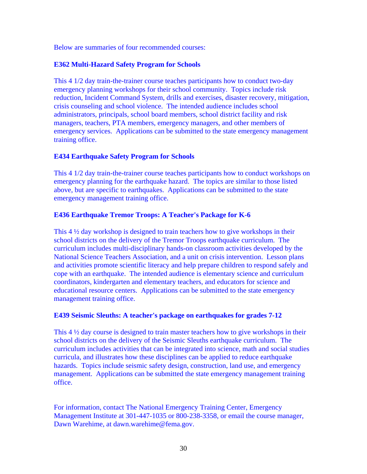Below are summaries of four recommended courses:

#### **E362 Multi-Hazard Safety Program for Schools**

This 4 1/2 day train-the-trainer course teaches participants how to conduct two-day emergency planning workshops for their school community. Topics include risk reduction, Incident Command System, drills and exercises, disaster recovery, mitigation, crisis counseling and school violence. The intended audience includes school administrators, principals, school board members, school district facility and risk managers, teachers, PTA members, emergency managers, and other members of emergency services. Applications can be submitted to the state emergency management training office.

#### **E434 Earthquake Safety Program for Schools**

This 4 1/2 day train-the-trainer course teaches participants how to conduct workshops on emergency planning for the earthquake hazard. The topics are similar to those listed above, but are specific to earthquakes. Applications can be submitted to the state emergency management training office.

#### **E436 Earthquake Tremor Troops: A Teacher's Package for K-6**

This  $4\frac{1}{2}$  day workshop is designed to train teachers how to give workshops in their school districts on the delivery of the Tremor Troops earthquake curriculum. The curriculum includes multi-disciplinary hands-on classroom activities developed by the National Science Teachers Association, and a unit on crisis intervention. Lesson plans and activities promote scientific literacy and help prepare children to respond safely and cope with an earthquake. The intended audience is elementary science and curriculum coordinators, kindergarten and elementary teachers, and educators for science and educational resource centers. Applications can be submitted to the state emergency management training office.

#### **E439 Seismic Sleuths: A teacher's package on earthquakes for grades 7-12**

This  $4\frac{1}{2}$  day course is designed to train master teachers how to give workshops in their school districts on the delivery of the Seismic Sleuths earthquake curriculum. The curriculum includes activities that can be integrated into science, math and social studies curricula, and illustrates how these disciplines can be applied to reduce earthquake hazards. Topics include seismic safety design, construction, land use, and emergency management. Applications can be submitted the state emergency management training office.

For information, contact The National Emergency Training Center, Emergency Management Institute at 301-447-1035 or 800-238-3358, or email the course manager, Dawn Warehime, at dawn.warehime@fema.gov.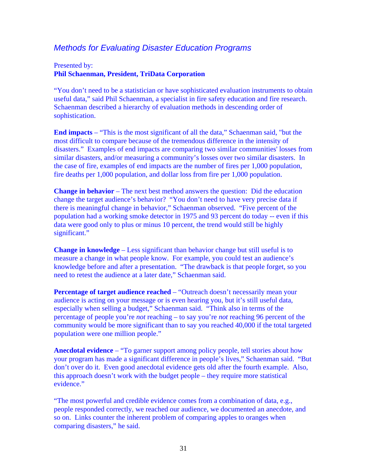## *Methods for Evaluating Disaster Education Programs*

#### Presented by: **Phil Schaenman, President, TriData Corporation**

"You don't need to be a statistician or have sophisticated evaluation instruments to obtain useful data," said Phil Schaenman, a specialist in fire safety education and fire research. Schaenman described a hierarchy of evaluation methods in descending order of sophistication.

**End impacts** – "This is the most significant of all the data," Schaenman said, "but the most difficult to compare because of the tremendous difference in the intensity of disasters." Examples of end impacts are comparing two similar communities' losses from similar disasters, and/or measuring a community's losses over two similar disasters. In the case of fire, examples of end impacts are the number of fires per 1,000 population, fire deaths per 1,000 population, and dollar loss from fire per 1,000 population.

**Change in behavior** – The next best method answers the question: Did the education change the target audience's behavior? "You don't need to have very precise data if there is meaningful change in behavior," Schaenman observed. "Five percent of the population had a working smoke detector in 1975 and 93 percent do today -- even if this data were good only to plus or minus 10 percent, the trend would still be highly significant."

**Change in knowledge** – Less significant than behavior change but still useful is to measure a change in what people know. For example, you could test an audience's knowledge before and after a presentation. "The drawback is that people forget, so you need to retest the audience at a later date," Schaenman said.

**Percentage of target audience reached** – "Outreach doesn't necessarily mean your audience is acting on your message or is even hearing you, but it's still useful data, especially when selling a budget," Schaenman said. "Think also in terms of the percentage of people you're *not* reaching – to say you're *not* reaching 96 percent of the community would be more significant than to say you reached 40,000 if the total targeted population were one million people."

**Anecdotal evidence** – "To garner support among policy people, tell stories about how your program has made a significant difference in people's lives," Schaenman said. "But don't over do it. Even good anecdotal evidence gets old after the fourth example. Also, this approach doesn't work with the budget people – they require more statistical evidence."

"The most powerful and credible evidence comes from a combination of data, e.g., people responded correctly, we reached our audience, we documented an anecdote, and so on. Links counter the inherent problem of comparing apples to oranges when comparing disasters," he said.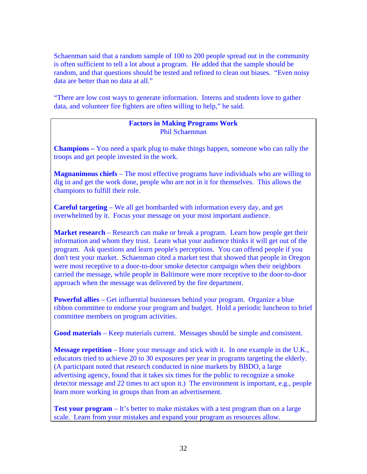Schaenman said that a random sample of 100 to 200 people spread out in the community is often sufficient to tell a lot about a program. He added that the sample should be random, and that questions should be tested and refined to clean out biases. "Even noisy data are better than no data at all."

"There are low cost ways to generate information. Interns and students love to gather data, and volunteer fire fighters are often willing to help," he said.

#### **Factors in Making Programs Work**  Phil Schaenman

**Champions –** You need a spark plug to make things happen, someone who can rally the troops and get people invested in the work.

**Magnanimous chiefs** – The most effective programs have individuals who are willing to dig in and get the work done, people who are not in it for themselves. This allows the champions to fulfill their role.

**Careful targeting** – We all get bombarded with information every day, and get overwhelmed by it. Focus your message on your most important audience.

**Market research** – Research can make or break a program. Learn how people get their information and whom they trust. Learn what your audience thinks it will get out of the program. Ask questions and learn people's perceptions. You can offend people if you don't test your market. Schaenman cited a market test that showed that people in Oregon were most receptive to a door-to-door smoke detector campaign when their neighbors carried the message, while people in Baltimore were more receptive to the door-to-door approach when the message was delivered by the fire department.

**Powerful allies** – Get influential businesses behind your program. Organize a blue ribbon committee to endorse your program and budget. Hold a periodic luncheon to brief committee members on program activities.

**Good materials** – Keep materials current. Messages should be simple and consistent.

**Message repetition** – Hone your message and stick with it. In one example in the U.K., educators tried to achieve 20 to 30 exposures per year in programs targeting the elderly. (A participant noted that research conducted in nine markets by BBDO, a large advertising agency, found that it takes six times for the public to recognize a smoke detector message and 22 times to act upon it.) The environment is important, e.g., people learn more working in groups than from an advertisement.

**Test your program** – It's better to make mistakes with a test program than on a large scale. Learn from your mistakes and expand your program as resources allow.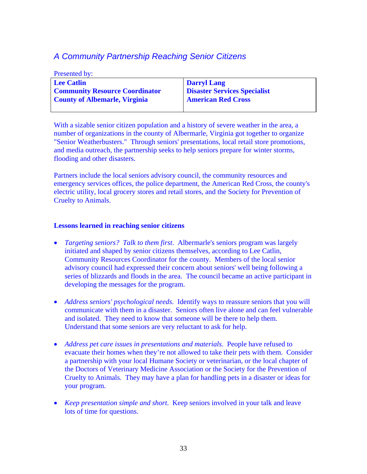# *A Community Partnership Reaching Senior Citizens*

| <b>Presented by:</b>                  |                                     |
|---------------------------------------|-------------------------------------|
| <b>Lee Catlin</b>                     | <b>Darryl Lang</b>                  |
| <b>Community Resource Coordinator</b> | <b>Disaster Services Specialist</b> |
| <b>County of Albemarle, Virginia</b>  | <b>American Red Cross</b>           |
|                                       |                                     |

With a sizable senior citizen population and a history of severe weather in the area, a number of organizations in the county of Albermarle, Virginia got together to organize "Senior Weatherbusters." Through seniors' presentations, local retail store promotions, and media outreach, the partnership seeks to help seniors prepare for winter storms, flooding and other disasters.

Partners include the local seniors advisory council, the community resources and emergency services offices, the police department, the American Red Cross, the county's electric utility, local grocery stores and retail stores, and the Society for Prevention of Cruelty to Animals.

#### **Lessons learned in reaching senior citizens**

- *Targeting seniors? Talk to them first*. Albermarle's seniors program was largely initiated and shaped by senior citizens themselves, according to Lee Catlin, Community Resources Coordinator for the county. Members of the local senior advisory council had expressed their concern about seniors' well being following a series of blizzards and floods in the area. The council became an active participant in developing the messages for the program.
- *Address seniors' psychological needs*. Identify ways to reassure seniors that you will communicate with them in a disaster. Seniors often live alone and can feel vulnerable and isolated. They need to know that someone will be there to help them. Understand that some seniors are very reluctant to ask for help.
- *Address pet care issues in presentations and materials.* People have refused to evacuate their homes when they're not allowed to take their pets with them. Consider a partnership with your local Humane Society or veterinarian, or the local chapter of the Doctors of Veterinary Medicine Association or the Society for the Prevention of Cruelty to Animals. They may have a plan for handling pets in a disaster or ideas for your program.
- *Keep presentation simple and short*. Keep seniors involved in your talk and leave lots of time for questions.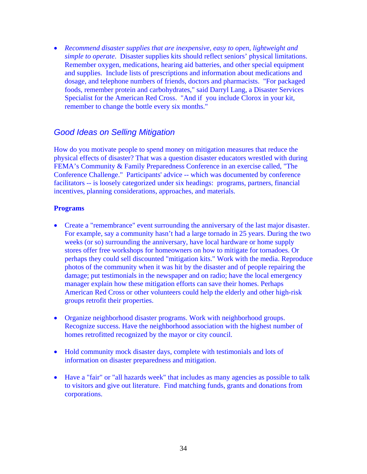• *Recommend disaster supplies that are inexpensive, easy to open, lightweight and simple to operate*. Disaster supplies kits should reflect seniors' physical limitations. Remember oxygen, medications, hearing aid batteries, and other special equipment and supplies. Include lists of prescriptions and information about medications and dosage, and telephone numbers of friends, doctors and pharmacists. "For packaged foods, remember protein and carbohydrates," said Darryl Lang, a Disaster Services Specialist for the American Red Cross. "And if you include Clorox in your kit, remember to change the bottle every six months."

### *Good Ideas on Selling Mitigation*

How do you motivate people to spend money on mitigation measures that reduce the physical effects of disaster? That was a question disaster educators wrestled with during FEMA's Community & Family Preparedness Conference in an exercise called, "The Conference Challenge." Participants' advice -- which was documented by conference facilitators -- is loosely categorized under six headings: programs, partners, financial incentives, planning considerations, approaches, and materials.

#### **Programs**

- Create a "remembrance" event surrounding the anniversary of the last major disaster. For example, say a community hasn't had a large tornado in 25 years. During the two weeks (or so) surrounding the anniversary, have local hardware or home supply stores offer free workshops for homeowners on how to mitigate for tornadoes. Or perhaps they could sell discounted "mitigation kits." Work with the media. Reproduce photos of the community when it was hit by the disaster and of people repairing the damage; put testimonials in the newspaper and on radio; have the local emergency manager explain how these mitigation efforts can save their homes. Perhaps American Red Cross or other volunteers could help the elderly and other high-risk groups retrofit their properties.
- Organize neighborhood disaster programs. Work with neighborhood groups. Recognize success. Have the neighborhood association with the highest number of homes retrofitted recognized by the mayor or city council.
- Hold community mock disaster days, complete with testimonials and lots of information on disaster preparedness and mitigation.
- Have a "fair" or "all hazards week" that includes as many agencies as possible to talk to visitors and give out literature. Find matching funds, grants and donations from corporations.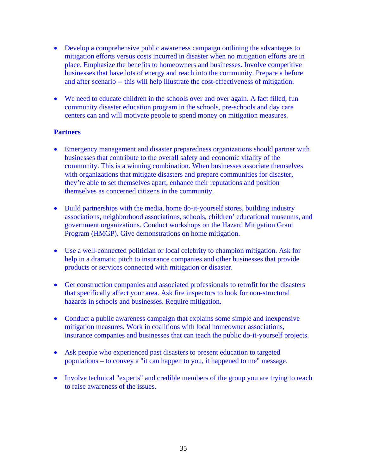- Develop a comprehensive public awareness campaign outlining the advantages to mitigation efforts versus costs incurred in disaster when no mitigation efforts are in place. Emphasize the benefits to homeowners and businesses. Involve competitive businesses that have lots of energy and reach into the community. Prepare a before and after scenario -- this will help illustrate the cost-effectiveness of mitigation.
- We need to educate children in the schools over and over again. A fact filled, fun community disaster education program in the schools, pre-schools and day care centers can and will motivate people to spend money on mitigation measures.

#### **Partners**

- Emergency management and disaster preparedness organizations should partner with businesses that contribute to the overall safety and economic vitality of the community. This is a winning combination. When businesses associate themselves with organizations that mitigate disasters and prepare communities for disaster, they're able to set themselves apart, enhance their reputations and position themselves as concerned citizens in the community.
- Build partnerships with the media, home do-it-yourself stores, building industry associations, neighborhood associations, schools, children' educational museums, and government organizations. Conduct workshops on the Hazard Mitigation Grant Program (HMGP). Give demonstrations on home mitigation.
- Use a well-connected politician or local celebrity to champion mitigation. Ask for help in a dramatic pitch to insurance companies and other businesses that provide products or services connected with mitigation or disaster.
- Get construction companies and associated professionals to retrofit for the disasters that specifically affect your area. Ask fire inspectors to look for non-structural hazards in schools and businesses. Require mitigation.
- Conduct a public awareness campaign that explains some simple and inexpensive mitigation measures. Work in coalitions with local homeowner associations, insurance companies and businesses that can teach the public do-it-yourself projects.
- Ask people who experienced past disasters to present education to targeted populations – to convey a "it can happen to you, it happened to me" message.
- Involve technical "experts" and credible members of the group you are trying to reach to raise awareness of the issues.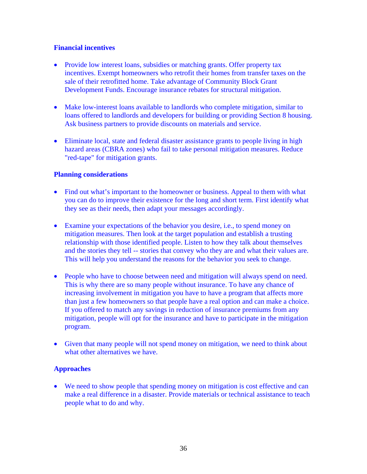#### **Financial incentives**

- Provide low interest loans, subsidies or matching grants. Offer property tax incentives. Exempt homeowners who retrofit their homes from transfer taxes on the sale of their retrofitted home. Take advantage of Community Block Grant Development Funds. Encourage insurance rebates for structural mitigation.
- Make low-interest loans available to landlords who complete mitigation, similar to loans offered to landlords and developers for building or providing Section 8 housing. Ask business partners to provide discounts on materials and service.
- Eliminate local, state and federal disaster assistance grants to people living in high hazard areas (CBRA zones) who fail to take personal mitigation measures. Reduce "red-tape" for mitigation grants.

#### **Planning considerations**

- Find out what's important to the homeowner or business. Appeal to them with what you can do to improve their existence for the long and short term. First identify what they see as their needs, then adapt your messages accordingly.
- Examine your expectations of the behavior you desire, i.e., to spend money on mitigation measures. Then look at the target population and establish a trusting relationship with those identified people. Listen to how they talk about themselves and the stories they tell -- stories that convey who they are and what their values are. This will help you understand the reasons for the behavior you seek to change.
- People who have to choose between need and mitigation will always spend on need. This is why there are so many people without insurance. To have any chance of increasing involvement in mitigation you have to have a program that affects more than just a few homeowners so that people have a real option and can make a choice. If you offered to match any savings in reduction of insurance premiums from any mitigation, people will opt for the insurance and have to participate in the mitigation program.
- Given that many people will not spend money on mitigation, we need to think about what other alternatives we have.

#### **Approaches**

• We need to show people that spending money on mitigation is cost effective and can make a real difference in a disaster. Provide materials or technical assistance to teach people what to do and why.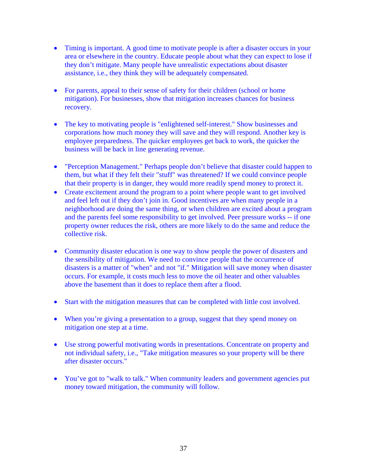- Timing is important. A good time to motivate people is after a disaster occurs in your area or elsewhere in the country. Educate people about what they can expect to lose if they don't mitigate. Many people have unrealistic expectations about disaster assistance, i.e., they think they will be adequately compensated.
- For parents, appeal to their sense of safety for their children (school or home mitigation). For businesses, show that mitigation increases chances for business recovery.
- The key to motivating people is "enlightened self-interest." Show businesses and corporations how much money they will save and they will respond. Another key is employee preparedness. The quicker employees get back to work, the quicker the business will be back in line generating revenue.
- "Perception Management." Perhaps people don't believe that disaster could happen to them, but what if they felt their "stuff" was threatened? If we could convince people that their property is in danger, they would more readily spend money to protect it.
- Create excitement around the program to a point where people want to get involved and feel left out if they don't join in. Good incentives are when many people in a neighborhood are doing the same thing, or when children are excited about a program and the parents feel some responsibility to get involved. Peer pressure works -- if one property owner reduces the risk, others are more likely to do the same and reduce the collective risk.
- Community disaster education is one way to show people the power of disasters and the sensibility of mitigation. We need to convince people that the occurrence of disasters is a matter of "when" and not "if." Mitigation will save money when disaster occurs. For example, it costs much less to move the oil heater and other valuables above the basement than it does to replace them after a flood.
- Start with the mitigation measures that can be completed with little cost involved.
- When you're giving a presentation to a group, suggest that they spend money on mitigation one step at a time.
- Use strong powerful motivating words in presentations. Concentrate on property and not individual safety, i.e., "Take mitigation measures so your property will be there after disaster occurs."
- You've got to "walk to talk." When community leaders and government agencies put money toward mitigation, the community will follow.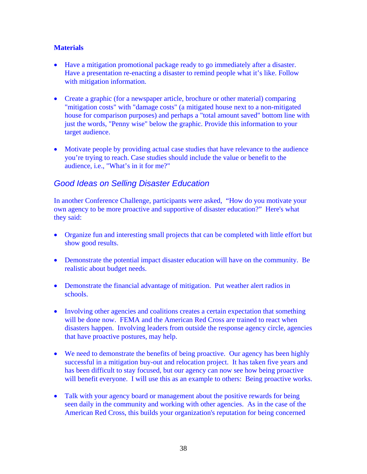#### **Materials**

- Have a mitigation promotional package ready to go immediately after a disaster. Have a presentation re-enacting a disaster to remind people what it's like. Follow with mitigation information.
- Create a graphic (for a newspaper article, brochure or other material) comparing "mitigation costs" with "damage costs" (a mitigated house next to a non-mitigated house for comparison purposes) and perhaps a "total amount saved" bottom line with just the words, "Penny wise" below the graphic. Provide this information to your target audience.
- Motivate people by providing actual case studies that have relevance to the audience you're trying to reach. Case studies should include the value or benefit to the audience, i.e., "What's in it for me?"

## *Good Ideas on Selling Disaster Education*

In another Conference Challenge, participants were asked, "How do you motivate your own agency to be more proactive and supportive of disaster education?" Here's what they said:

- Organize fun and interesting small projects that can be completed with little effort but show good results.
- Demonstrate the potential impact disaster education will have on the community. Be realistic about budget needs.
- Demonstrate the financial advantage of mitigation. Put weather alert radios in schools.
- Involving other agencies and coalitions creates a certain expectation that something will be done now. FEMA and the American Red Cross are trained to react when disasters happen. Involving leaders from outside the response agency circle, agencies that have proactive postures, may help.
- We need to demonstrate the benefits of being proactive. Our agency has been highly successful in a mitigation buy-out and relocation project. It has taken five years and has been difficult to stay focused, but our agency can now see how being proactive will benefit everyone. I will use this as an example to others: Being proactive works.
- Talk with your agency board or management about the positive rewards for being seen daily in the community and working with other agencies. As in the case of the American Red Cross, this builds your organization's reputation for being concerned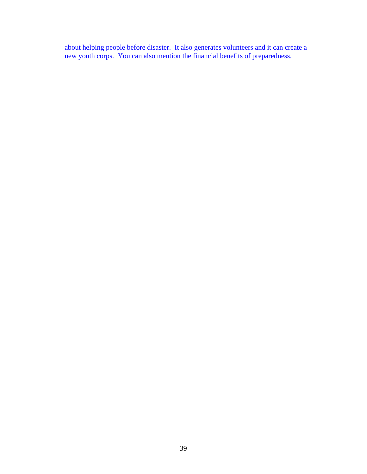about helping people before disaster. It also generates volunteers and it can create a new youth corps. You can also mention the financial benefits of preparedness.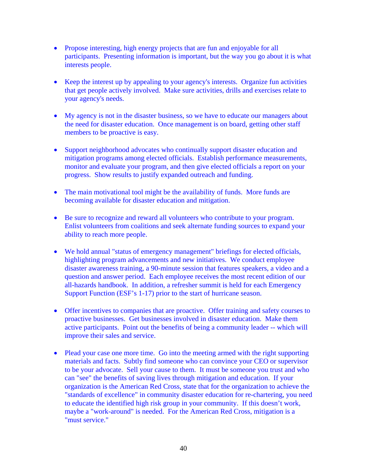- Propose interesting, high energy projects that are fun and enjoyable for all participants. Presenting information is important, but the way you go about it is what interests people.
- Keep the interest up by appealing to your agency's interests. Organize fun activities that get people actively involved. Make sure activities, drills and exercises relate to your agency's needs.
- My agency is not in the disaster business, so we have to educate our managers about the need for disaster education. Once management is on board, getting other staff members to be proactive is easy.
- Support neighborhood advocates who continually support disaster education and mitigation programs among elected officials. Establish performance measurements, monitor and evaluate your program, and then give elected officials a report on your progress. Show results to justify expanded outreach and funding.
- The main motivational tool might be the availability of funds. More funds are becoming available for disaster education and mitigation.
- Be sure to recognize and reward all volunteers who contribute to your program. Enlist volunteers from coalitions and seek alternate funding sources to expand your ability to reach more people.
- We hold annual "status of emergency management" briefings for elected officials, highlighting program advancements and new initiatives. We conduct employee disaster awareness training, a 90-minute session that features speakers, a video and a question and answer period. Each employee receives the most recent edition of our all-hazards handbook. In addition, a refresher summit is held for each Emergency Support Function (ESF's 1-17) prior to the start of hurricane season.
- Offer incentives to companies that are proactive. Offer training and safety courses to proactive businesses. Get businesses involved in disaster education. Make them active participants. Point out the benefits of being a community leader -- which will improve their sales and service.
- Plead your case one more time. Go into the meeting armed with the right supporting materials and facts. Subtly find someone who can convince your CEO or supervisor to be your advocate. Sell your cause to them. It must be someone you trust and who can "see" the benefits of saving lives through mitigation and education. If your organization is the American Red Cross, state that for the organization to achieve the "standards of excellence" in community disaster education for re-chartering, you need to educate the identified high risk group in your community. If this doesn't work, maybe a "work-around" is needed. For the American Red Cross, mitigation is a "must service."